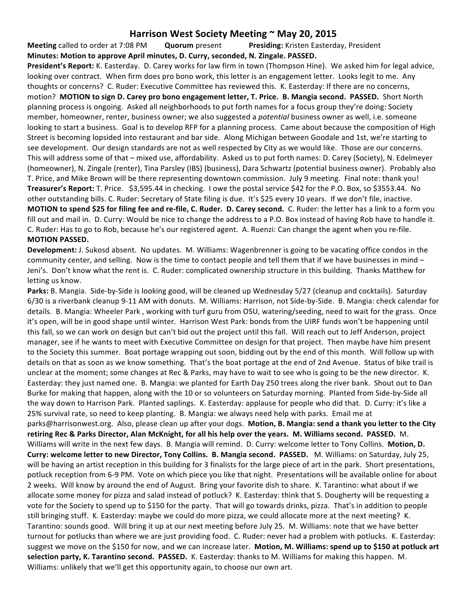## **Harrison West Society Meeting ~ May 20, 2015**

**Meeting** called to order at 7:08 PM **Quorum** present **Presiding:** Kristen Easterday, President **Minutes: Motion to approve April minutes, D. Curry, seconded, N. Zingale. PASSED.**

**President's Report:** K. Easterday. D. Carey works for law firm in town (Thompson Hine). We asked him for legal advice, looking over contract. When firm does pro bono work, this letter is an engagement letter. Looks legit to me. Any thoughts or concerns? C. Ruder: Executive Committee has reviewed this. K. Easterday: If there are no concerns, motion? **MOTION to sign D. Carey pro bono engagement letter, T. Price. B. Mangia second. PASSED.** Short North planning process is ongoing. Asked all neighborhoods to put forth names for a focus group they're doing: Society member, homeowner, renter, business owner; we also suggested a *potential* business owner as well, i.e. someone looking to start a business. Goal is to develop RFP for a planning process. Came about because the composition of High Street is becoming lopsided into restaurant and bar side. Along Michigan between Goodale and 1st, we're starting to see development. Our design standards are not as well respected by City as we would like. Those are our concerns. This will address some of that – mixed use, affordability. Asked us to put forth names: D. Carey (Society), N. Edelmeyer (homeowner), N. Zingale (renter), Tina Parsley (IBS) (business), Dara Schwartz (potential business owner). Probably also T. Price, and Mike Brown will be there representing downtown commission. July 9 meeting. Final note: thank you! **Treasurer's Report:** T. Price. \$3,595.44 in checking. I owe the postal service \$42 for the P.O. Box, so \$3553.44. No other outstanding bills. C. Ruder: Secretary of State filing is due. It's \$25 every 10 years. If we don't file, inactive. **MOTION** to spend \$25 for filing fee and re-file, C. Ruder. D. Carey second. C. Ruder: the letter has a link to a form you fill out and mail in. D. Curry: Would be nice to change the address to a P.O. Box instead of having Rob have to handle it. C. Ruder: Has to go to Rob, because he's our registered agent. A. Ruenzi: Can change the agent when you re-file. **MOTION PASSED.** 

**Development:** J. Sukosd absent. No updates. M. Williams: Wagenbrenner is going to be vacating office condos in the community center, and selling. Now is the time to contact people and tell them that if we have businesses in mind -Jeni's. Don't know what the rent is. C. Ruder: complicated ownership structure in this building. Thanks Matthew for letting us know.

**Parks:** B. Mangia. Side-by-Side is looking good, will be cleaned up Wednesday 5/27 (cleanup and cocktails). Saturday 6/30 is a riverbank cleanup 9-11 AM with donuts. M. Williams: Harrison, not Side-by-Side. B. Mangia: check calendar for details. B. Mangia: Wheeler Park, working with turf guru from OSU, watering/seeding, need to wait for the grass. Once it's open, will be in good shape until winter. Harrison West Park: bonds from the UIRF funds won't be happening until this fall, so we can work on design but can't bid out the project until this fall. Will reach out to Jeff Anderson, project manager, see if he wants to meet with Executive Committee on design for that project. Then maybe have him present to the Society this summer. Boat portage wrapping out soon, bidding out by the end of this month. Will follow up with details on that as soon as we know something. That's the boat portage at the end of 2nd Avenue. Status of bike trail is unclear at the moment; some changes at Rec & Parks, may have to wait to see who is going to be the new director. K. Easterday: they just named one. B. Mangia: we planted for Earth Day 250 trees along the river bank. Shout out to Dan Burke for making that happen, along with the 10 or so volunteers on Saturday morning. Planted from Side-by-Side all the way down to Harrison Park. Planted saplings. K. Easterday: applause for people who did that. D. Curry: it's like a 25% survival rate, so need to keep planting. B. Mangia: we always need help with parks. Email me at parks@harrisonwest.org. Also, please clean up after your dogs. Motion, B. Mangia: send a thank you letter to the City **retiring Rec & Parks Director, Alan McKnight, for all his help over the years. M. Williams second. PASSED.** M. Williams will write in the next few days. B. Mangia will remind. D. Curry: welcome letter to Tony Collins. Motion, D. **Curry: welcome letter to new Director, Tony Collins. B. Mangia second. PASSED.** M. Williams: on Saturday, July 25, will be having an artist reception in this building for 3 finalists for the large piece of art in the park. Short presentations, potluck reception from 6-9 PM. Vote on which piece you like that night. Presentations will be available online for about 2 weeks. Will know by around the end of August. Bring your favorite dish to share. K. Tarantino: what about if we allocate some money for pizza and salad instead of potluck? K. Easterday: think that S. Dougherty will be requesting a vote for the Society to spend up to \$150 for the party. That will go towards drinks, pizza. That's in addition to people still bringing stuff. K. Easterday: maybe we could do more pizza, we could allocate more at the next meeting? K. Tarantino: sounds good. Will bring it up at our next meeting before July 25. M. Williams: note that we have better turnout for potlucks than where we are just providing food. C. Ruder: never had a problem with potlucks. K. Easterday: suggest we move on the \$150 for now, and we can increase later. Motion, M. Williams: spend up to \$150 at potluck art **selection party, K. Tarantino second. PASSED.** K. Easterday: thanks to M. Williams for making this happen. M. Williams: unlikely that we'll get this opportunity again, to choose our own art.